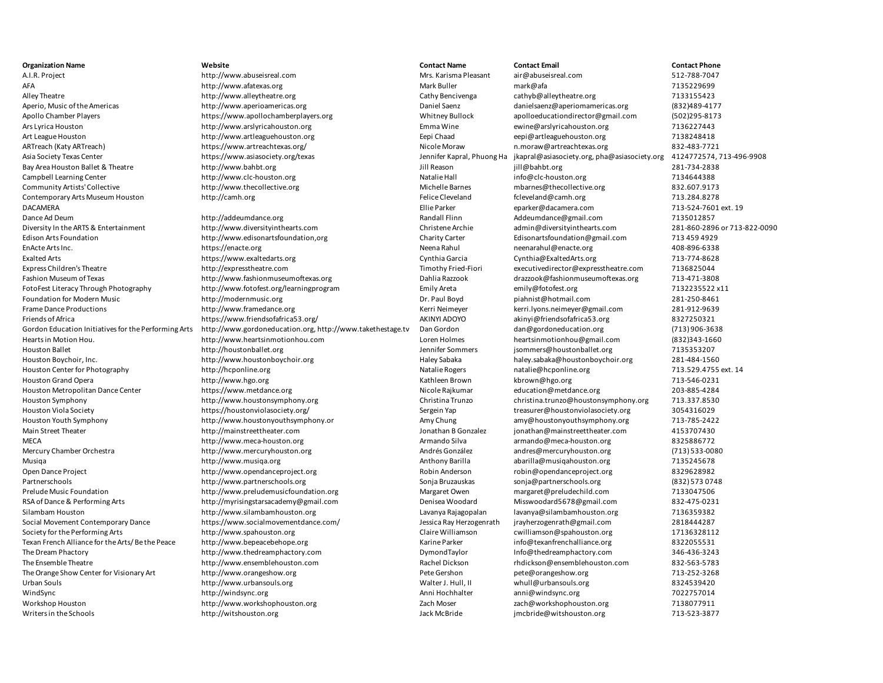A.I.R. Project **1.2.1.1.** Project http://www.abuseisreal.com Mrs. Karisma Pleasant air@abuseisreal.com 512-788-7047 AFA http://www.afatexas.org Mark Buller mark@afa mark@afa 7135229699 7135229699 Alley Theatre **http://www.alleytheatre.org Cathy Bencivenga** cathyb@alleytheatre.org 7133155423 Aperio, Music of the Americas **http://www.aperioamericas.org** Daniel Saenz Daniel Saenz danielsaenz@aperiomamericas.org (832)489-4177 Apollo Chamber Players https://www.apollochamberplayers.org Whitney Bullock apolloeducationdirector@gmail.com (502)295-8173 Ars Lyrica Houston http://www.arslyricahouston.org Emma Wine ewine@arslyricahouston.org 7136227443 Art League Houston http://www.artleaguehouston.org Eepi Chaad eepi@artleaguehouston.org 7138248418 ARTreach (Katy ARTreach) https://www.artreachtexas.org/ Nicole Moraw n.moraw@artreachtexas.org 832-483-7721 1.moraw@artreachtexas.org Asia Society Texas Center https://www.asiasociety.org/texas Jennifer Kapral, Phuong Ha jkapral@asiasociety.org, pha@asiasociety.org 4124772574, 713-496-9908 Bay Area Houston Ballet & Theatre http://www.bahbt.org **Julidace 281-734-2838** Jill Reason jill@bahbt.org 281-734-2838 Campbell Learning Center **http://www.clc-houston.org** Natalie Hall info@clc-houston.org 7134644388 Community Artists' Collective http://www.thecollective.org Michelle Barnes mbarnes@thecollective.org 832.607.9173 Contemporary Arts Museum Houston http://camh.org http://camh.org Felice Cleveland fcleveland fcleveland fcleveland fcleveland fcleveland fcleveland fcleveland fcleveland 713.284.8278 DACAMERA Ellie Parker eparker@dacamera.com 713-524-7601 ext. 19 Dance Ad Deum **http://addeumdance.org Randall Flinn** Addeumdance@gmail.com 7135012857

Diversity In the ARTS & Entertainment http://www.diversityinthearts.com Christene Archie admin@diversityinthearts.com 281-860-2896 or 713-822-0090 Edison Arts Foundation http://www.edisonartsfoundation,org Charity Carter Edisonartsfoundation@gmail.com 713 459 4929 EnActe Arts Inc. https://enacte.org Neena Rahul neenarahul@enacte.org 408-896-6338 Exalted Arts https://www.exaltedarts.org Cynthia Garcia Cynthia@ExaltedArts.org 713-774-8628 Express Children's Theatre http://expresstheatre.com Timothy Fried-Fiori executivedirector@expresstheatre.com 7136825044 Fashion Museum of Texas http://www.fashionmuseumoftexas.org Dahlia Razzook drazzook@fashionmuseumoftexas.org 713-471-3808 FotoFest Literacy Through Photography http://www.fotofest.org/learningprogram Emily Areta emily@fotofest.org 7132235522 x11 Foundation for Modern Music **http://modernmusic.org Dr. Paul Boyd** piahnist@hotmail.com 281-250-8461 Frame Dance Productions http://www.framedance.org Kerri Neimeyer kerri.lyons.neimeyer@gmail.com 281-912-9639 Friends of Africa https://www.friendsofafrica53.org/ AKINYI ADOYO akinyi@friendsofafrica53.org 8327250321 Gordon Education Initiatives for the Performing Arts http://www.gordoneducation.org, http://www.takethestage.tv Dan Gordon dan@gordoneducation.org (713) 906-3638 Hearts in Motion Hou. http://www.heartsinmotionhou.com Loren Holmes heartsinmotionhou@gmail.com (832)343-1660 Houston Ballet **1988** Methol (http://houstonballet.org //www.fluence.org //www.fluence.org //www.fluence.org 713535207 Houston Boychoir, Inc. http://www.houstonboychoir.org Haley Sabaka haley.sabaka@houstonboychoir.org 281-484-1560 Houston Center for Photography http://hcponline.org Natalie Rogers natalie Rogers natalie@hcponline.org 713.529.4755 ext. 14 Houston Grand Opera http://www.hgo.org Research Archives Archives Mathleen Brown Kathleen Brown Kbrown@hgo.org 713-546-0231 Houston Metropolitan Dance Center https://www.metdance.org Nicole Rajkumar education@metdance.org 203-885-4284 Houston Symphony http://www.houstonsymphony.org Christina Trunzo christina.trunzo@houstonsymphony.org 713.337.8530 Houston Viola Society **https://houstonviolasociety.org/** Sergein Yap Sergein Yap treasurer@houstonviolasociety.org 3054316029 Houston Youth Symphony http://www.houstonyouthsymphony.or Amy Chung amy@houstonyouthsymphony.org 713-785-2422 Main Street Theater http://mainstreettheater.com Jonathan B Gonzalez jonathan@mainstreettheater.com 4153707430 MECA http://www.meca-houston.org armando Silva armando@meca-houston.org 8325886772 Mercury Chamber Orchestra http://www.mercuryhouston.org Andrés González andres@mercuryhouston.org (713) 533-0080 Musiqa http://www.musiqa.org Anthony Barilla abarilla@musiqahouston.org 7135245678 Open Dance Project **http://www.opendanceproject.org by-community** Robin Anderson robin@opendanceproject.org 8329628982 Partnerschools http://www.partnerschools.org Sonja Bruzauskas sonja@partnerschools.org (832) 573 0748 Prelude Music Foundation http://www.preludemusicfoundation.org Margaret Owen margaret@preludechild.com 7133047506 RSA of Dance & Performing Arts http://myrisingstarsacademy@gmail.com Denisea Woodard Misswoodard5678@gmail.com 832-475-0231 Silambam Houston http://www.silambamhouston.org Lavanya Rajagopalan lavanya@silambamhouston.org 7136359382 Social Movement Contemporary Dance https://www.socialmovementdance.com/ Jessica Ray Herzogenrath jrayherzogenrath@gmail.com 2818444287 Society for the Performing Arts http://www.spahouston.org Claire Williamson cwilliamson cwilliamson cumbing the Claire Williamson cumbing Spahouston.org 17136328112 Texan French Alliance for the Arts/ Be the Peace http://www.bepeacebehope.org **Karine Parker info@texanfrenchalliance.org** 8322055531 The Dream Phactory http://www.thedreamphactory.com DymondTaylor Info@thedreamphactory.com 346-436-3243 The Ensemble Theatre http://www.ensemblehouston.com Rachel Dickson rhdickson@ensemblehouston.com 832-563-5783 The Orange Show Center for Visionary Art http://www.orangeshow.org Pete Gershon pete@orangeshow.org 713-252-3268 Urban Souls **Example 2018** of the the souls http://www.urbansouls.org whull and the Urban Souls and Walter J. Hull, II whull@urbansouls.org and the state 8324539420 WindSync http://windsync.org Anni Hochhalter anni@windsync.org 7022757014 Workshop Houston **http://www.workshophouston.org** Zach Moser zach@workshophouston.org 7138077911 Writers in the Schools **113-523-3877** http://witshouston.org Jack McBride jmcbride@witshouston.org 713-523-3877

**Organization Name Website Contact Name Contact Email Contact Phone**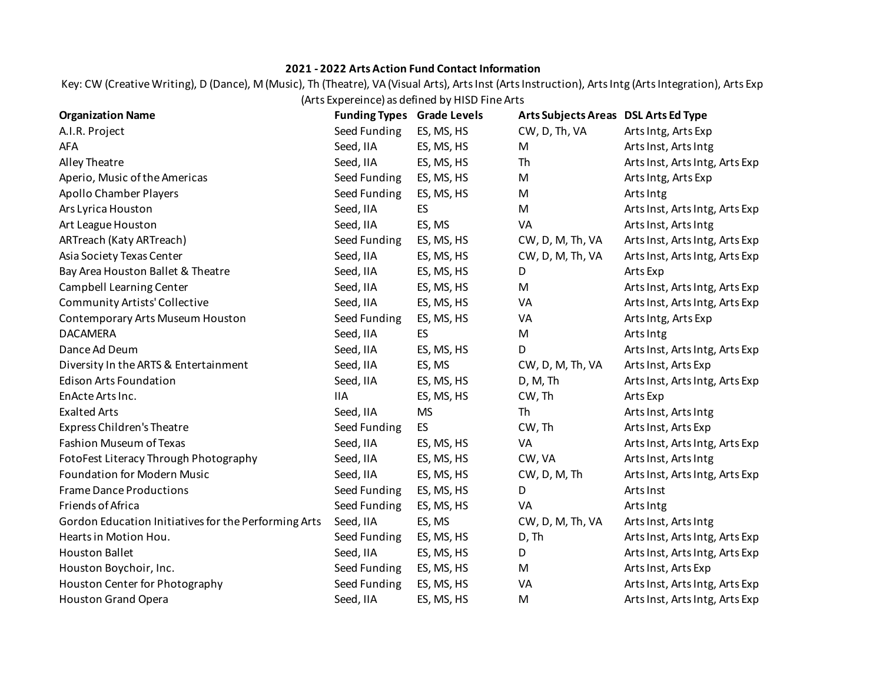## **2021 - 2022 Arts Action Fund Contact Information**

Key: CW (Creative Writing), D (Dance), M (Music), Th (Theatre), VA (Visual Arts), Arts Inst (Arts Instruction), Arts Intg (Arts Integration), Arts Exp (Arts Expereince) as defined by HISD Fine Arts

| <b>Organization Name</b>                             | <b>Funding Types Grade Levels</b> |            | Arts Subjects Areas DSL Arts Ed Type |                                |
|------------------------------------------------------|-----------------------------------|------------|--------------------------------------|--------------------------------|
| A.I.R. Project                                       | Seed Funding                      | ES, MS, HS | CW, D, Th, VA                        | Arts Intg, Arts Exp            |
| AFA                                                  | Seed, IIA                         | ES, MS, HS | M                                    | Arts Inst, Arts Intg           |
| Alley Theatre                                        | Seed, IIA                         | ES, MS, HS | Th                                   | Arts Inst, Arts Intg, Arts Exp |
| Aperio, Music of the Americas                        | Seed Funding                      | ES, MS, HS | M                                    | Arts Intg, Arts Exp            |
| <b>Apollo Chamber Players</b>                        | Seed Funding                      | ES, MS, HS | M                                    | Arts Intg                      |
| Ars Lyrica Houston                                   | Seed, IIA                         | ES         | M                                    | Arts Inst, Arts Intg, Arts Exp |
| Art League Houston                                   | Seed, IIA                         | ES, MS     | VA                                   | Arts Inst, Arts Intg           |
| ARTreach (Katy ARTreach)                             | Seed Funding                      | ES, MS, HS | CW, D, M, Th, VA                     | Arts Inst, Arts Intg, Arts Exp |
| Asia Society Texas Center                            | Seed, IIA                         | ES, MS, HS | CW, D, M, Th, VA                     | Arts Inst, Arts Intg, Arts Exp |
| Bay Area Houston Ballet & Theatre                    | Seed, IIA                         | ES, MS, HS | D                                    | Arts Exp                       |
| Campbell Learning Center                             | Seed, IIA                         | ES, MS, HS | M                                    | Arts Inst, Arts Intg, Arts Exp |
| Community Artists' Collective                        | Seed, IIA                         | ES, MS, HS | VA                                   | Arts Inst, Arts Intg, Arts Exp |
| Contemporary Arts Museum Houston                     | Seed Funding                      | ES, MS, HS | VA                                   | Arts Intg, Arts Exp            |
| <b>DACAMERA</b>                                      | Seed, IIA                         | ES         | M                                    | Arts Intg                      |
| Dance Ad Deum                                        | Seed, IIA                         | ES, MS, HS | D                                    | Arts Inst, Arts Intg, Arts Exp |
| Diversity In the ARTS & Entertainment                | Seed, IIA                         | ES, MS     | CW, D, M, Th, VA                     | Arts Inst, Arts Exp            |
| <b>Edison Arts Foundation</b>                        | Seed, IIA                         | ES, MS, HS | D, M, Th                             | Arts Inst, Arts Intg, Arts Exp |
| EnActe Arts Inc.                                     | <b>IIA</b>                        | ES, MS, HS | CW, Th                               | Arts Exp                       |
| <b>Exalted Arts</b>                                  | Seed, IIA                         | <b>MS</b>  | Th                                   | Arts Inst, Arts Intg           |
| Express Children's Theatre                           | Seed Funding                      | ES         | CW, Th                               | Arts Inst, Arts Exp            |
| <b>Fashion Museum of Texas</b>                       | Seed, IIA                         | ES, MS, HS | VA                                   | Arts Inst, Arts Intg, Arts Exp |
| FotoFest Literacy Through Photography                | Seed, IIA                         | ES, MS, HS | CW, VA                               | Arts Inst, Arts Intg           |
| <b>Foundation for Modern Music</b>                   | Seed, IIA                         | ES, MS, HS | CW, D, M, Th                         | Arts Inst, Arts Intg, Arts Exp |
| <b>Frame Dance Productions</b>                       | Seed Funding                      | ES, MS, HS | D                                    | Arts Inst                      |
| Friends of Africa                                    | Seed Funding                      | ES, MS, HS | VA                                   | Arts Intg                      |
| Gordon Education Initiatives for the Performing Arts | Seed, IIA                         | ES, MS     | CW, D, M, Th, VA                     | Arts Inst, Arts Intg           |
| Hearts in Motion Hou.                                | Seed Funding                      | ES, MS, HS | D, Th                                | Arts Inst, Arts Intg, Arts Exp |
| <b>Houston Ballet</b>                                | Seed, IIA                         | ES, MS, HS | D                                    | Arts Inst, Arts Intg, Arts Exp |
| Houston Boychoir, Inc.                               | Seed Funding                      | ES, MS, HS | M                                    | Arts Inst, Arts Exp            |
| Houston Center for Photography                       | Seed Funding                      | ES, MS, HS | VA                                   | Arts Inst, Arts Intg, Arts Exp |
| <b>Houston Grand Opera</b>                           | Seed, IIA                         | ES, MS, HS | M                                    | Arts Inst, Arts Intg, Arts Exp |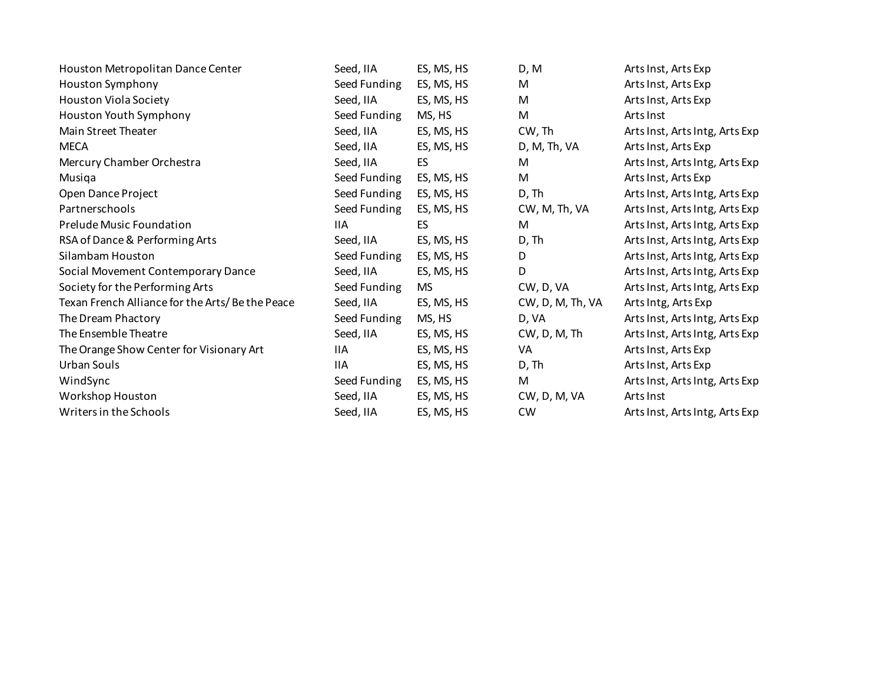| Houston Metropolitan Dance Center               | Seed, IIA    | ES, MS, HS | D, M                  | Arts Inst, Arts Exp            |
|-------------------------------------------------|--------------|------------|-----------------------|--------------------------------|
| Houston Symphony                                | Seed Funding | ES, MS, HS | M                     | Arts Inst, Arts Exp            |
| <b>Houston Viola Society</b>                    | Seed, IIA    | ES, MS, HS | M                     | Arts Inst, Arts Exp            |
| Houston Youth Symphony                          | Seed Funding | MS, HS     | M                     | Arts Inst                      |
| Main Street Theater                             | Seed, IIA    | ES, MS, HS | CW, Th                | Arts Inst, Arts Intg, Arts Exp |
| <b>MECA</b>                                     | Seed, IIA    | ES, MS, HS | D, M, Th, VA          | Arts Inst, Arts Exp            |
| Mercury Chamber Orchestra                       | Seed, IIA    | <b>ES</b>  | M                     | Arts Inst, Arts Intg, Arts Exp |
| Musiqa                                          | Seed Funding | ES, MS, HS | M                     | Arts Inst, Arts Exp            |
| Open Dance Project                              | Seed Funding | ES, MS, HS | D, Th                 | Arts Inst, Arts Intg, Arts Exp |
| Partnerschools                                  | Seed Funding | ES, MS, HS | CW, M, Th, VA         | Arts Inst, Arts Intg, Arts Exp |
| Prelude Music Foundation                        | 11A          | ES         | M                     | Arts Inst, Arts Intg, Arts Exp |
| RSA of Dance & Performing Arts                  | Seed, IIA    | ES, MS, HS | D, Th                 | Arts Inst, Arts Intg, Arts Exp |
| Silambam Houston                                | Seed Funding | ES, MS, HS | D                     | Arts Inst, Arts Intg, Arts Exp |
| Social Movement Contemporary Dance              | Seed, IIA    | ES, MS, HS | D                     | Arts Inst, Arts Intg, Arts Exp |
| Society for the Performing Arts                 | Seed Funding | MS         | CW, D, VA             | Arts Inst, Arts Intg, Arts Exp |
| Texan French Alliance for the Arts/Be the Peace | Seed, IIA    | ES, MS, HS | CW, D, M, Th, VA      | Arts Intg, Arts Exp            |
| The Dream Phactory                              | Seed Funding | MS, HS     | D, VA                 | Arts Inst, Arts Intg, Arts Exp |
| The Ensemble Theatre                            | Seed, IIA    | ES, MS, HS | $CW$ , $D$ , $M$ , Th | Arts Inst, Arts Intg, Arts Exp |
| The Orange Show Center for Visionary Art        | 11A          | ES, MS, HS | VA                    | Arts Inst, Arts Exp            |
| Urban Souls                                     | 11A          | ES, MS, HS | D, Th                 | Arts Inst, Arts Exp            |
| WindSync                                        | Seed Funding | ES, MS, HS | M                     | Arts Inst, Arts Intg, Arts Exp |
| Workshop Houston                                | Seed, IIA    | ES, MS, HS | CW, D, M, VA          | Arts Inst                      |
| Writers in the Schools                          | Seed, IIA    | ES, MS, HS | <b>CW</b>             | Arts Inst, Arts Intg, Arts Exp |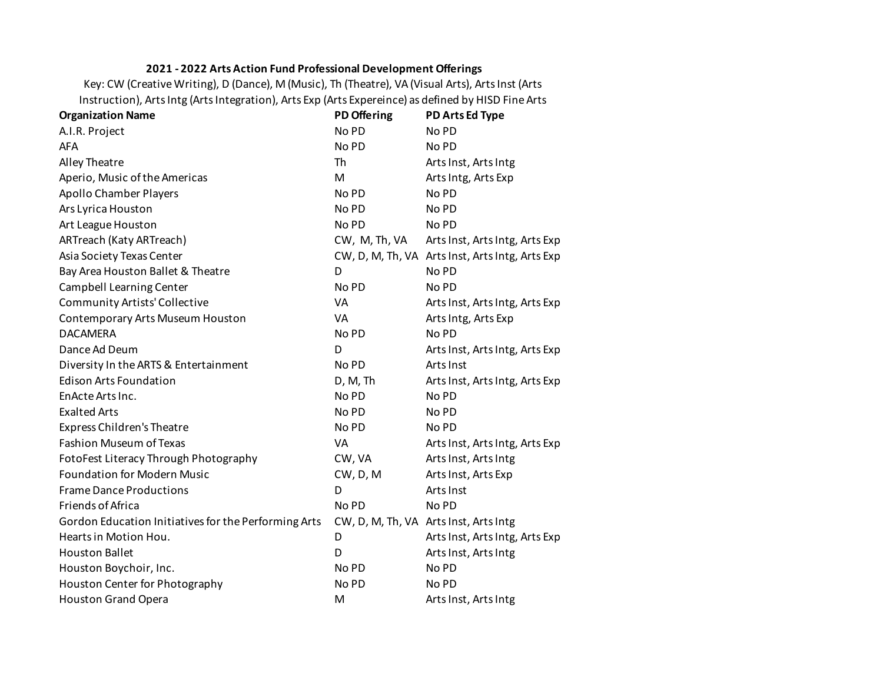## **2021 - 2022 Arts Action Fund Professional Development Offerings**

Key: CW (Creative Writing), D (Dance), M (Music), Th (Theatre), VA (Visual Arts), Arts Inst (Arts Instruction), Arts Intg (Arts Integration), Arts Exp (Arts Expereince) as defined by HISD Fine Arts

| <b>Organization Name</b>                             | <b>PD Offering</b> | PD Arts Ed Type                                 |
|------------------------------------------------------|--------------------|-------------------------------------------------|
| A.I.R. Project                                       | No PD              | No PD                                           |
| <b>AFA</b>                                           | No PD              | No PD                                           |
| Alley Theatre                                        | Th                 | Arts Inst, Arts Intg                            |
| Aperio, Music of the Americas                        | M                  | Arts Intg, Arts Exp                             |
| <b>Apollo Chamber Players</b>                        | No PD              | No PD                                           |
| Ars Lyrica Houston                                   | No PD              | No PD                                           |
| Art League Houston                                   | No PD              | No PD                                           |
| ARTreach (Katy ARTreach)                             | CW, M, Th, VA      | Arts Inst, Arts Intg, Arts Exp                  |
| Asia Society Texas Center                            |                    | CW, D, M, Th, VA Arts Inst, Arts Intg, Arts Exp |
| Bay Area Houston Ballet & Theatre                    | D                  | No PD                                           |
| Campbell Learning Center                             | No PD              | No PD                                           |
| <b>Community Artists' Collective</b>                 | VA                 | Arts Inst, Arts Intg, Arts Exp                  |
| Contemporary Arts Museum Houston                     | VA                 | Arts Intg, Arts Exp                             |
| <b>DACAMERA</b>                                      | No PD              | No PD                                           |
| Dance Ad Deum                                        | D                  | Arts Inst, Arts Intg, Arts Exp                  |
| Diversity In the ARTS & Entertainment                | No PD              | Arts Inst                                       |
| <b>Edison Arts Foundation</b>                        | D, M, Th           | Arts Inst, Arts Intg, Arts Exp                  |
| EnActe Arts Inc.                                     | No PD              | No PD                                           |
| <b>Exalted Arts</b>                                  | No PD              | No PD                                           |
| <b>Express Children's Theatre</b>                    | No PD              | No PD                                           |
| <b>Fashion Museum of Texas</b>                       | VA                 | Arts Inst, Arts Intg, Arts Exp                  |
| FotoFest Literacy Through Photography                | CW, VA             | Arts Inst, Arts Intg                            |
| <b>Foundation for Modern Music</b>                   | $CW$ , $D$ , $M$   | Arts Inst, Arts Exp                             |
| <b>Frame Dance Productions</b>                       | D                  | Arts Inst                                       |
| Friends of Africa                                    | No PD              | No PD                                           |
| Gordon Education Initiatives for the Performing Arts |                    | CW, D, M, Th, VA Arts Inst, Arts Intg           |
| Hearts in Motion Hou.                                | D                  | Arts Inst, Arts Intg, Arts Exp                  |
| <b>Houston Ballet</b>                                | D                  | Arts Inst, Arts Intg                            |
| Houston Boychoir, Inc.                               | No PD              | No PD                                           |
| Houston Center for Photography                       | No PD              | No PD                                           |
| <b>Houston Grand Opera</b>                           | M                  | Arts Inst, Arts Intg                            |